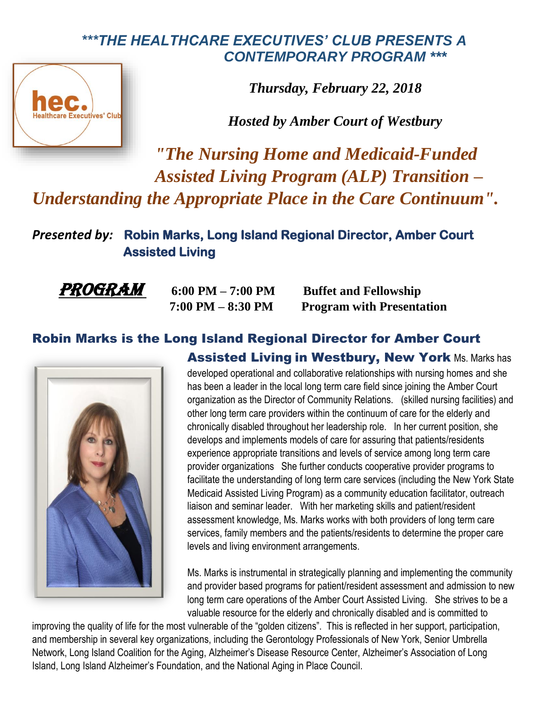## *\*\*\*THE HEALTHCARE EXECUTIVES' CLUB PRESENTS A CONTEMPORARY PROGRAM \*\*\**



*Thursday, February 22, 2018*

*Hosted by Amber Court of Westbury* 

*"The Nursing Home and Medicaid-Funded Assisted Living Program (ALP) Transition – Understanding the Appropriate Place in the Care Continuum".*

*Presented by:* **Robin Marks, Long Island Regional Director, Amber Court Assisted Living** 

*PROGRAM* 6:00 PM – 7:00 PM Buffet and Fellowship  **7:00 PM – 8:30 PM Program with Presentation**

## Robin Marks is the Long Island Regional Director for Amber Court Assisted Living in Westbury, New York Ms. Marks has



developed operational and collaborative relationships with nursing homes and she has been a leader in the local long term care field since joining the Amber Court organization as the Director of Community Relations. (skilled nursing facilities) and other long term care providers within the continuum of care for the elderly and chronically disabled throughout her leadership role. In her current position, she develops and implements models of care for assuring that patients/residents experience appropriate transitions and levels of service among long term care provider organizations She further conducts cooperative provider programs to facilitate the understanding of long term care services (including the New York State Medicaid Assisted Living Program) as a community education facilitator, outreach liaison and seminar leader. With her marketing skills and patient/resident assessment knowledge, Ms. Marks works with both providers of long term care services, family members and the patients/residents to determine the proper care levels and living environment arrangements.

Ms. Marks is instrumental in strategically planning and implementing the community and provider based programs for patient/resident assessment and admission to new long term care operations of the Amber Court Assisted Living. She strives to be a valuable resource for the elderly and chronically disabled and is committed to

improving the quality of life for the most vulnerable of the "golden citizens". This is reflected in her support, participation, and membership in several key organizations, including the Gerontology Professionals of New York, Senior Umbrella Network, Long Island Coalition for the Aging, Alzheimer's Disease Resource Center, Alzheimer's Association of Long Island, Long Island Alzheimer's Foundation, and the National Aging in Place Council.